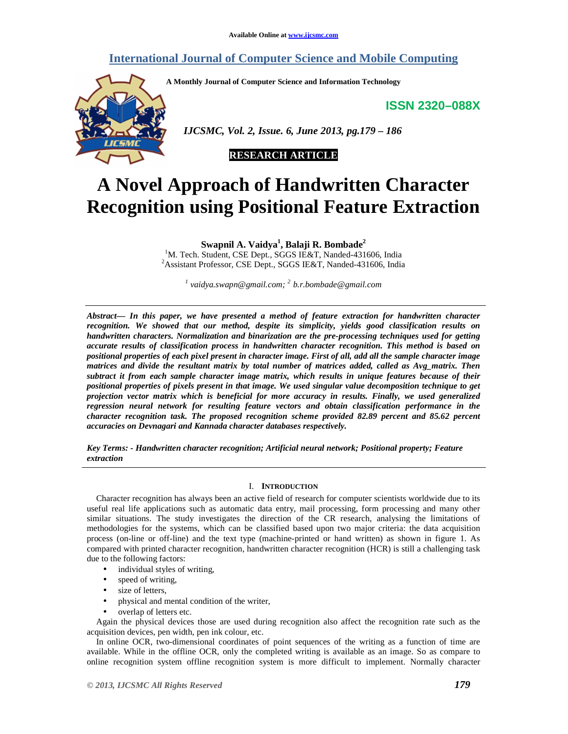# **International Journal of Computer Science and Mobile Computing**

**A Monthly Journal of Computer Science and Information Technology** 

**ISSN 2320–088X**



 *IJCSMC, Vol. 2, Issue. 6, June 2013, pg.179 – 186* 

# **RESEARCH ARTICLE**

# **A Novel Approach of Handwritten Character Recognition using Positional Feature Extraction**

**Swapnil A. Vaidya<sup>1</sup> , Balaji R. Bombade<sup>2</sup>**

<sup>1</sup>M. Tech. Student, CSE Dept., SGGS IE&T, Nanded-431606, India <sup>2</sup> Assistant Professor, CSE Dept., SGGS IE&T, Nanded-431606, India

*1 vaidya.swapn@gmail.com; <sup>2</sup> b.r.bombade@gmail.com*

*Abstract— In this paper, we have presented a method of feature extraction for handwritten character recognition. We showed that our method, despite its simplicity, yields good classification results on handwritten characters. Normalization and binarization are the pre-processing techniques used for getting accurate results of classification process in handwritten character recognition. This method is based on positional properties of each pixel present in character image. First of all, add all the sample character image matrices and divide the resultant matrix by total number of matrices added, called as Avg\_matrix. Then subtract it from each sample character image matrix, which results in unique features because of their positional properties of pixels present in that image. We used singular value decomposition technique to get projection vector matrix which is beneficial for more accuracy in results. Finally, we used generalized regression neural network for resulting feature vectors and obtain classification performance in the character recognition task. The proposed recognition scheme provided 82.89 percent and 85.62 percent accuracies on Devnagari and Kannada character databases respectively.* 

*Key Terms: - Handwritten character recognition; Artificial neural network; Positional property; Feature extraction* 

# I. **INTRODUCTION**

Character recognition has always been an active field of research for computer scientists worldwide due to its useful real life applications such as automatic data entry, mail processing, form processing and many other similar situations. The study investigates the direction of the CR research, analysing the limitations of methodologies for the systems, which can be classified based upon two major criteria: the data acquisition process (on-line or off-line) and the text type (machine-printed or hand written) as shown in figure 1. As compared with printed character recognition, handwritten character recognition (HCR) is still a challenging task due to the following factors:

- individual styles of writing,
- speed of writing,
- size of letters,
- physical and mental condition of the writer,
- overlap of letters etc.

Again the physical devices those are used during recognition also affect the recognition rate such as the acquisition devices, pen width, pen ink colour, etc.

In online OCR, two-dimensional coordinates of point sequences of the writing as a function of time are available. While in the offline OCR, only the completed writing is available as an image. So as compare to online recognition system offline recognition system is more difficult to implement. Normally character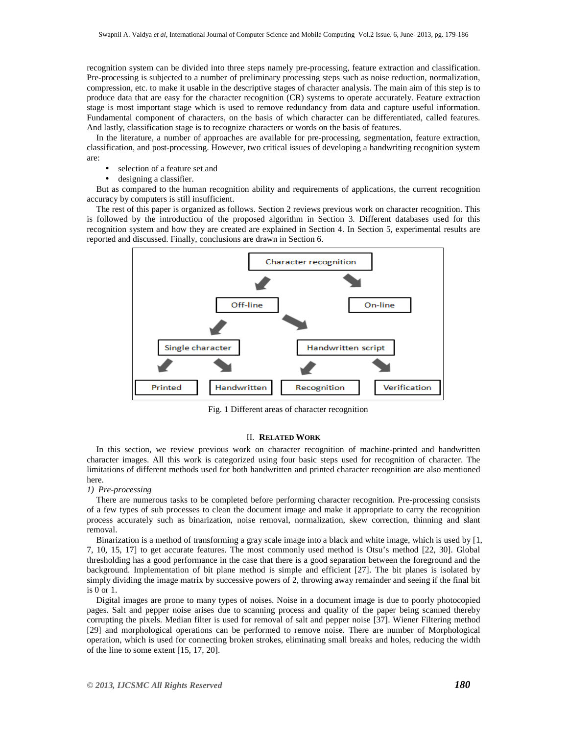recognition system can be divided into three steps namely pre-processing, feature extraction and classification. Pre-processing is subjected to a number of preliminary processing steps such as noise reduction, normalization, compression, etc. to make it usable in the descriptive stages of character analysis. The main aim of this step is to produce data that are easy for the character recognition (CR) systems to operate accurately. Feature extraction stage is most important stage which is used to remove redundancy from data and capture useful information. Fundamental component of characters, on the basis of which character can be differentiated, called features. And lastly, classification stage is to recognize characters or words on the basis of features.

In the literature, a number of approaches are available for pre-processing, segmentation, feature extraction, classification, and post-processing. However, two critical issues of developing a handwriting recognition system are:

- selection of a feature set and
- designing a classifier.

But as compared to the human recognition ability and requirements of applications, the current recognition accuracy by computers is still insufficient.

The rest of this paper is organized as follows. Section 2 reviews previous work on character recognition. This is followed by the introduction of the proposed algorithm in Section 3. Different databases used for this recognition system and how they are created are explained in Section 4. In Section 5, experimental results are reported and discussed. Finally, conclusions are drawn in Section 6.



Fig. 1 Different areas of character recognition

## II. **RELATED WORK**

In this section, we review previous work on character recognition of machine-printed and handwritten character images. All this work is categorized using four basic steps used for recognition of character. The limitations of different methods used for both handwritten and printed character recognition are also mentioned here.

# *1) Pre-processing*

There are numerous tasks to be completed before performing character recognition. Pre-processing consists of a few types of sub processes to clean the document image and make it appropriate to carry the recognition process accurately such as binarization, noise removal, normalization, skew correction, thinning and slant removal.

Binarization is a method of transforming a gray scale image into a black and white image, which is used by [1, 7, 10, 15, 17] to get accurate features. The most commonly used method is Otsu's method [22, 30]. Global thresholding has a good performance in the case that there is a good separation between the foreground and the background. Implementation of bit plane method is simple and efficient [27]. The bit planes is isolated by simply dividing the image matrix by successive powers of 2, throwing away remainder and seeing if the final bit is 0 or 1.

Digital images are prone to many types of noises. Noise in a document image is due to poorly photocopied pages. Salt and pepper noise arises due to scanning process and quality of the paper being scanned thereby corrupting the pixels. Median filter is used for removal of salt and pepper noise [37]. Wiener Filtering method [29] and morphological operations can be performed to remove noise. There are number of Morphological operation, which is used for connecting broken strokes, eliminating small breaks and holes, reducing the width of the line to some extent [15, 17, 20].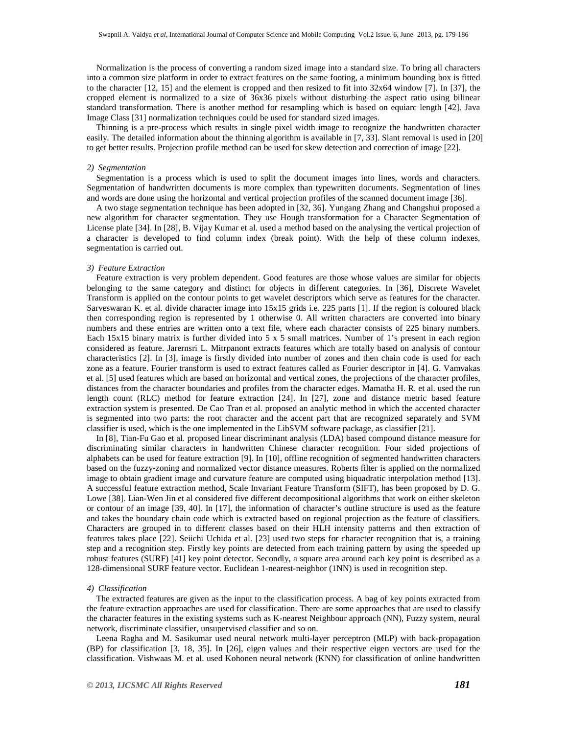Normalization is the process of converting a random sized image into a standard size. To bring all characters into a common size platform in order to extract features on the same footing, a minimum bounding box is fitted to the character  $[12, 15]$  and the element is cropped and then resized to fit into  $32x64$  window  $[7]$ . In  $[37]$ , the cropped element is normalized to a size of 36x36 pixels without disturbing the aspect ratio using bilinear standard transformation. There is another method for resampling which is based on equiarc length [42]. Java Image Class [31] normalization techniques could be used for standard sized images.

Thinning is a pre-process which results in single pixel width image to recognize the handwritten character easily. The detailed information about the thinning algorithm is available in [7, 33]. Slant removal is used in [20] to get better results. Projection profile method can be used for skew detection and correction of image [22].

# *2) Segmentation*

Segmentation is a process which is used to split the document images into lines, words and characters. Segmentation of handwritten documents is more complex than typewritten documents. Segmentation of lines and words are done using the horizontal and vertical projection profiles of the scanned document image [36].

A two stage segmentation technique has been adopted in [32, 36]. Yungang Zhang and Changshui proposed a new algorithm for character segmentation. They use Hough transformation for a Character Segmentation of License plate [34]. In [28], B. Vijay Kumar et al. used a method based on the analysing the vertical projection of a character is developed to find column index (break point). With the help of these column indexes, segmentation is carried out.

#### *3) Feature Extraction*

Feature extraction is very problem dependent. Good features are those whose values are similar for objects belonging to the same category and distinct for objects in different categories. In [36], Discrete Wavelet Transform is applied on the contour points to get wavelet descriptors which serve as features for the character. Sarveswaran K. et al. divide character image into 15x15 grids i.e. 225 parts [1]. If the region is coloured black then corresponding region is represented by 1 otherwise 0. All written characters are converted into binary numbers and these entries are written onto a text file, where each character consists of 225 binary numbers. Each 15x15 binary matrix is further divided into 5 x 5 small matrices. Number of 1's present in each region considered as feature. Jarernsri L. Mitrpanont extracts features which are totally based on analysis of contour characteristics [2]. In [3], image is firstly divided into number of zones and then chain code is used for each zone as a feature. Fourier transform is used to extract features called as Fourier descriptor in [4]. G. Vamvakas et al. [5] used features which are based on horizontal and vertical zones, the projections of the character profiles, distances from the character boundaries and profiles from the character edges. Mamatha H. R. et al. used the run length count (RLC) method for feature extraction [24]. In [27], zone and distance metric based feature extraction system is presented. De Cao Tran et al. proposed an analytic method in which the accented character is segmented into two parts: the root character and the accent part that are recognized separately and SVM classifier is used, which is the one implemented in the LibSVM software package, as classifier [21].

In [8], Tian-Fu Gao et al. proposed linear discriminant analysis (LDA) based compound distance measure for discriminating similar characters in handwritten Chinese character recognition. Four sided projections of alphabets can be used for feature extraction [9]. In [10], offline recognition of segmented handwritten characters based on the fuzzy-zoning and normalized vector distance measures. Roberts filter is applied on the normalized image to obtain gradient image and curvature feature are computed using biquadratic interpolation method [13]. A successful feature extraction method, Scale Invariant Feature Transform (SIFT), has been proposed by D. G. Lowe [38]. Lian-Wen Jin et al considered five different decompositional algorithms that work on either skeleton or contour of an image [39, 40]. In [17], the information of character's outline structure is used as the feature and takes the boundary chain code which is extracted based on regional projection as the feature of classifiers. Characters are grouped in to different classes based on their HLH intensity patterns and then extraction of features takes place [22]. Seiichi Uchida et al. [23] used two steps for character recognition that is, a training step and a recognition step. Firstly key points are detected from each training pattern by using the speeded up robust features (SURF) [41] key point detector. Secondly, a square area around each key point is described as a 128-dimensional SURF feature vector. Euclidean 1-nearest-neighbor (1NN) is used in recognition step.

#### *4) Classification*

The extracted features are given as the input to the classification process. A bag of key points extracted from the feature extraction approaches are used for classification. There are some approaches that are used to classify the character features in the existing systems such as K-nearest Neighbour approach (NN), Fuzzy system, neural network, discriminate classifier, unsupervised classifier and so on.

Leena Ragha and M. Sasikumar used neural network multi-layer perceptron (MLP) with back-propagation (BP) for classification [3, 18, 35]. In [26], eigen values and their respective eigen vectors are used for the classification. Vishwaas M. et al. used Kohonen neural network (KNN) for classification of online handwritten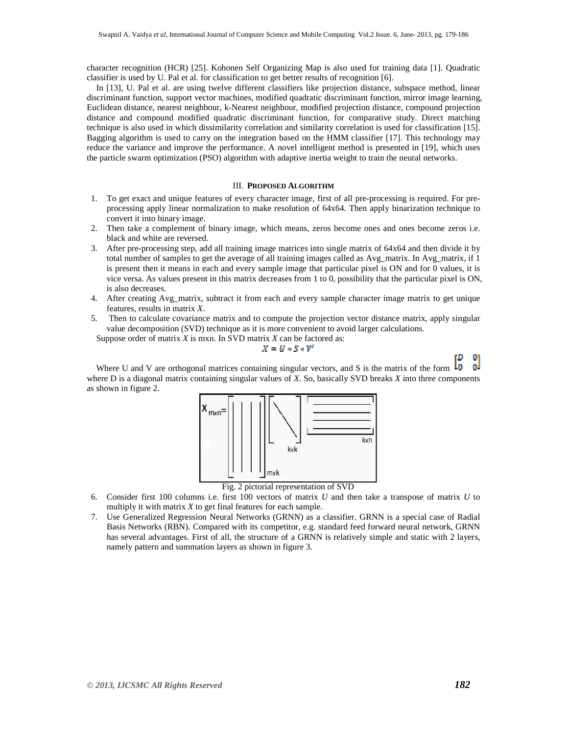character recognition (HCR) [25]. Kohonen Self Organizing Map is also used for training data [1]. Quadratic classifier is used by U. Pal et al. for classification to get better results of recognition [6].

In [13], U. Pal et al. are using twelve different classifiers like projection distance, subspace method, linear discriminant function, support vector machines, modified quadratic discriminant function, mirror image learning, Euclidean distance, nearest neighbour, k-Nearest neighbour, modified projection distance, compound projection distance and compound modified quadratic discriminant function, for comparative study. Direct matching technique is also used in which dissimilarity correlation and similarity correlation is used for classification [15]. Bagging algorithm is used to carry on the integration based on the HMM classifier [17]. This technology may reduce the variance and improve the performance. A novel intelligent method is presented in [19], which uses the particle swarm optimization (PSO) algorithm with adaptive inertia weight to train the neural networks.

# III. **PROPOSED ALGORITHM**

- 1. To get exact and unique features of every character image, first of all pre-processing is required. For preprocessing apply linear normalization to make resolution of 64x64. Then apply binarization technique to convert it into binary image.
- 2. Then take a complement of binary image, which means, zeros become ones and ones become zeros i.e. black and white are reversed.
- 3. After pre-processing step, add all training image matrices into single matrix of 64x64 and then divide it by total number of samples to get the average of all training images called as Avg\_matrix. In Avg\_matrix, if 1 is present then it means in each and every sample image that particular pixel is ON and for 0 values, it is vice versa. As values present in this matrix decreases from 1 to 0, possibility that the particular pixel is ON, is also decreases.
- 4. After creating Avg matrix, subtract it from each and every sample character image matrix to get unique features, results in matrix *X*.
- 5. Then to calculate covariance matrix and to compute the projection vector distance matrix, apply singular value decomposition (SVD) technique as it is more convenient to avoid larger calculations.

Suppose order of matrix *X* is mxn. In SVD matrix *X* can be factored as:

$$
X = U \ast S \ast V
$$

Where U and V are orthogonal matrices containing singular vectors, and S is the matrix of the form -nl where D is a diagonal matrix containing singular values of *X*. So, basically SVD breaks *X* into three components as shown in figure 2.



Fig. 2 pictorial representation of SVD

- 6. Consider first 100 columns i.e. first 100 vectors of matrix *U* and then take a transpose of matrix *U* to multiply it with matrix *X* to get final features for each sample.
- 7. Use Generalized Regression Neural Networks (GRNN) as a classifier. GRNN is a special case of Radial Basis Networks (RBN). Compared with its competitor, e.g. standard feed forward neural network, GRNN has several advantages. First of all, the structure of a GRNN is relatively simple and static with 2 layers, namely pattern and summation layers as shown in figure 3.

 $\mathbf{0}$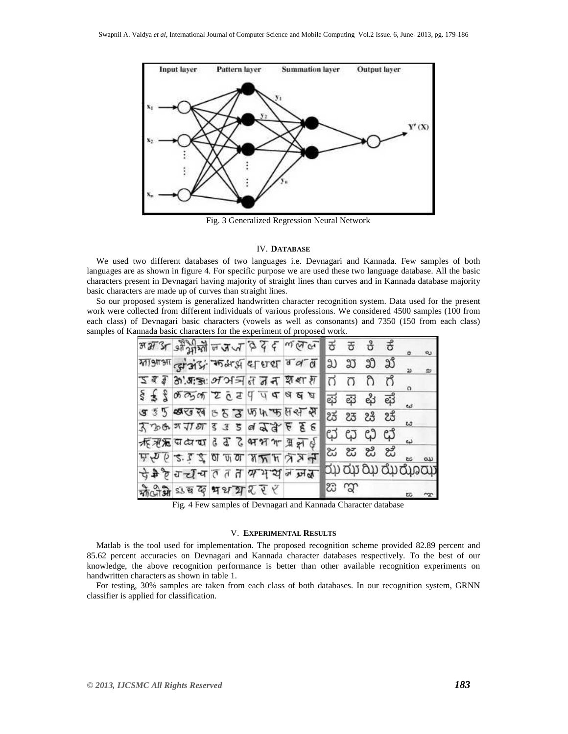

Fig. 3 Generalized Regression Neural Network

## IV. **DATABASE**

We used two different databases of two languages i.e. Devnagari and Kannada. Few samples of both languages are as shown in figure 4. For specific purpose we are used these two language database. All the basic characters present in Devnagari having majority of straight lines than curves and in Kannada database majority basic characters are made up of curves than straight lines.

So our proposed system is generalized handwritten character recognition system. Data used for the present work were collected from different individuals of various professions. We considered 4500 samples (100 from each class) of Devnagari basic characters (vowels as well as consonants) and 7350 (150 from each class) samples of Kannada basic characters for the experiment of proposed work.

|  |                                                                                                                                                                                                                                                | <u>अभार अभी था भयत्व दे र ललल</u> |   |      | ಕ ಕ ಕಿ ಕೆ   | $\sigma$           | ¢J |
|--|------------------------------------------------------------------------------------------------------------------------------------------------------------------------------------------------------------------------------------------------|-----------------------------------|---|------|-------------|--------------------|----|
|  | माआआ तुम्बाद्ध कर्माड़ा बाबा व व व                                                                                                                                                                                                             |                                   | ಖ |      | ಖ ಖ ಖ       |                    | ø  |
|  | <u>दिइ है अ.स.झ: अअत्र थ थ भ क्षं ध्र</u>                                                                                                                                                                                                      |                                   |   | σ    | ಗಿ ಗ        | $\Omega$           |    |
|  | $\frac{1}{3}$ $\frac{2}{3}$ $\frac{2}{3}$ $\frac{25}{3}$ $\frac{3}{3}$ $\frac{3}{3}$ $\frac{4}{3}$ $\frac{5}{3}$ $\frac{3}{3}$ $\frac{1}{3}$ $\frac{1}{2}$ $\frac{1}{6}$ $\frac{1}{4}$ $\frac{1}{4}$ $\frac{4}{9}$ $\frac{8}{3}$ $\frac{8}{3}$ |                                   | ಘ |      | ಕ್ಷ ಳು ಫೆ   |                    |    |
|  | <b>उ</b> ३५ छाउँ व ६ ४ ४ फि ५ फ स स स                                                                                                                                                                                                          |                                   |   |      | ಚ ಚ ಚಿ ಚ    | گە ئ               |    |
|  | $3389$ and $129$ s $3$ s a $99$ s $6$ s $8$                                                                                                                                                                                                    |                                   |   |      |             | u                  |    |
|  | क्किक्सिया है दे हैं भाभ भ ब्रेल्ड                                                                                                                                                                                                             |                                   |   |      | ಛ ಛ ಛ ಛ     |                    |    |
|  | $A \times B$ $B \times C$ $B \times C$ $C$ $D \times C$                                                                                                                                                                                        |                                   |   |      | ಜೆ ಜಿ ಜಿ ಜೆ |                    |    |
|  | प्रैलै विद्यमत तता यम्या जजा ज                                                                                                                                                                                                                 |                                   |   |      |             | dụ dự ân gh gio ch |    |
|  | कोजी अंब क भथ या रहर                                                                                                                                                                                                                           |                                   |   | జ ఞా |             | 匹                  |    |

Fig. 4 Few samples of Devnagari and Kannada Character database

# V. **EXPERIMENTAL RESULTS**

Matlab is the tool used for implementation. The proposed recognition scheme provided 82.89 percent and 85.62 percent accuracies on Devnagari and Kannada character databases respectively. To the best of our knowledge, the above recognition performance is better than other available recognition experiments on handwritten characters as shown in table 1.

For testing, 30% samples are taken from each class of both databases. In our recognition system, GRNN classifier is applied for classification.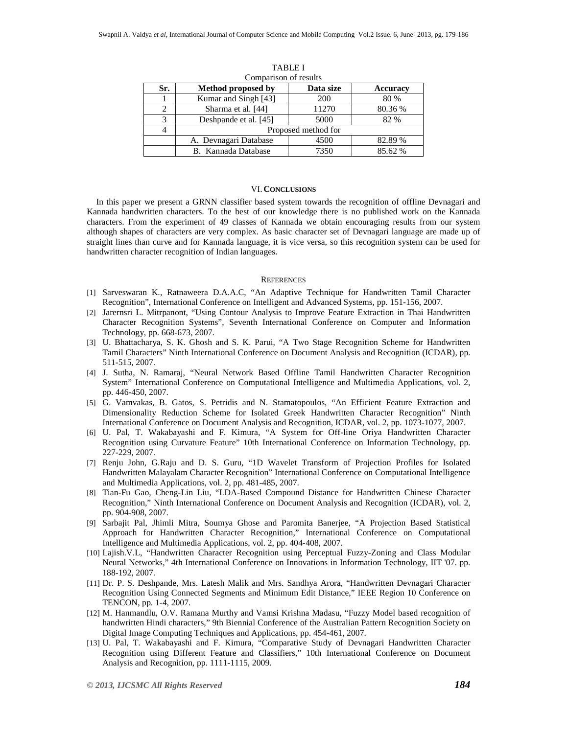| Sr. | Method proposed by    | Data size | <b>Accuracy</b> |  |  |  |  |
|-----|-----------------------|-----------|-----------------|--|--|--|--|
|     | Kumar and Singh [43]  | 200       | 80 %            |  |  |  |  |
|     | Sharma et al. [44]    | 11270     | 80.36 %         |  |  |  |  |
| 3   | Deshpande et al. [45] | 5000      | 82 %            |  |  |  |  |
|     | Proposed method for   |           |                 |  |  |  |  |
|     | A. Devnagari Database | 4500      | 82.89 %         |  |  |  |  |
|     | B. Kannada Database   | 7350      | 85.62 %         |  |  |  |  |

TABLE I Comparison of results

# VI. **CONCLUSIONS**

In this paper we present a GRNN classifier based system towards the recognition of offline Devnagari and Kannada handwritten characters. To the best of our knowledge there is no published work on the Kannada characters. From the experiment of 49 classes of Kannada we obtain encouraging results from our system although shapes of characters are very complex. As basic character set of Devnagari language are made up of straight lines than curve and for Kannada language, it is vice versa, so this recognition system can be used for handwritten character recognition of Indian languages.

## **REFERENCES**

- [1] Sarveswaran K., Ratnaweera D.A.A.C, "An Adaptive Technique for Handwritten Tamil Character Recognition", International Conference on Intelligent and Advanced Systems, pp. 151-156, 2007.
- [2] Jarernsri L. Mitrpanont, "Using Contour Analysis to Improve Feature Extraction in Thai Handwritten Character Recognition Systems", Seventh International Conference on Computer and Information Technology, pp. 668-673, 2007.
- [3] U. Bhattacharya, S. K. Ghosh and S. K. Parui, "A Two Stage Recognition Scheme for Handwritten Tamil Characters" Ninth International Conference on Document Analysis and Recognition (ICDAR), pp. 511-515, 2007.
- [4] J. Sutha, N. Ramaraj, "Neural Network Based Offline Tamil Handwritten Character Recognition System" International Conference on Computational Intelligence and Multimedia Applications, vol. 2, pp. 446-450, 2007.
- [5] G. Vamvakas, B. Gatos, S. Petridis and N. Stamatopoulos, "An Efficient Feature Extraction and Dimensionality Reduction Scheme for Isolated Greek Handwritten Character Recognition" Ninth International Conference on Document Analysis and Recognition, ICDAR, vol. 2, pp. 1073-1077, 2007.
- [6] U. Pal, T. Wakabayashi and F. Kimura, "A System for Off-line Oriya Handwritten Character Recognition using Curvature Feature" 10th International Conference on Information Technology, pp. 227-229, 2007.
- [7] Renju John, G.Raju and D. S. Guru, "1D Wavelet Transform of Projection Profiles for Isolated Handwritten Malayalam Character Recognition" International Conference on Computational Intelligence and Multimedia Applications, vol. 2, pp. 481-485, 2007.
- [8] Tian-Fu Gao, Cheng-Lin Liu, "LDA-Based Compound Distance for Handwritten Chinese Character Recognition," Ninth International Conference on Document Analysis and Recognition (ICDAR), vol. 2, pp. 904-908, 2007.
- [9] Sarbajit Pal, Jhimli Mitra, Soumya Ghose and Paromita Banerjee, "A Projection Based Statistical Approach for Handwritten Character Recognition," International Conference on Computational Intelligence and Multimedia Applications, vol. 2, pp. 404-408, 2007.
- [10] Lajish.V.L, "Handwritten Character Recognition using Perceptual Fuzzy-Zoning and Class Modular Neural Networks," 4th International Conference on Innovations in Information Technology, IIT '07. pp. 188-192, 2007.
- [11] Dr. P. S. Deshpande, Mrs. Latesh Malik and Mrs. Sandhya Arora, "Handwritten Devnagari Character Recognition Using Connected Segments and Minimum Edit Distance," IEEE Region 10 Conference on TENCON, pp. 1-4, 2007.
- [12] M. Hanmandlu, O.V. Ramana Murthy and Vamsi Krishna Madasu, "Fuzzy Model based recognition of handwritten Hindi characters," 9th Biennial Conference of the Australian Pattern Recognition Society on Digital Image Computing Techniques and Applications, pp. 454-461, 2007.
- [13] U. Pal, T. Wakabayashi and F. Kimura, "Comparative Study of Devnagari Handwritten Character Recognition using Different Feature and Classifiers," 10th International Conference on Document Analysis and Recognition, pp. 1111-1115, 2009.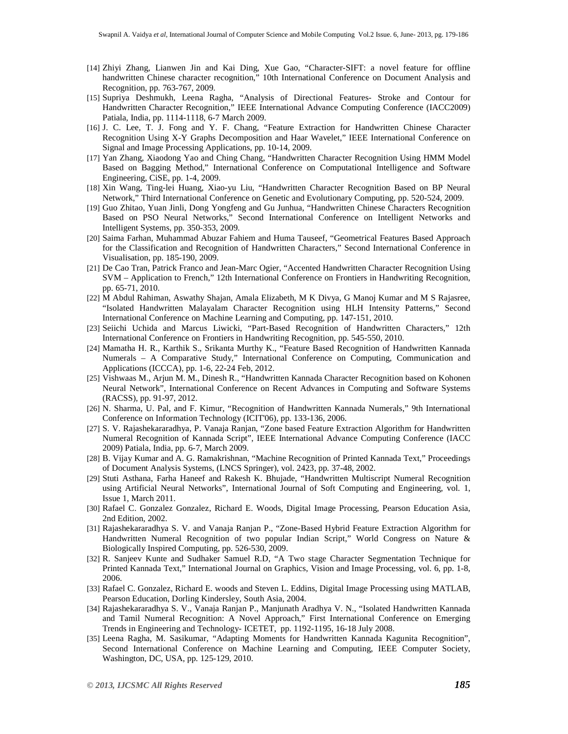- [14] Zhiyi Zhang, Lianwen Jin and Kai Ding, Xue Gao, "Character-SIFT: a novel feature for offline handwritten Chinese character recognition," 10th International Conference on Document Analysis and Recognition, pp. 763-767, 2009.
- [15] Supriya Deshmukh, Leena Ragha, "Analysis of Directional Features- Stroke and Contour for Handwritten Character Recognition," IEEE International Advance Computing Conference (IACC2009) Patiala, India, pp. 1114-1118, 6-7 March 2009.
- [16] J. C. Lee, T. J. Fong and Y. F. Chang, "Feature Extraction for Handwritten Chinese Character Recognition Using X-Y Graphs Decomposition and Haar Wavelet," IEEE International Conference on Signal and Image Processing Applications, pp. 10-14, 2009.
- [17] Yan Zhang, Xiaodong Yao and Ching Chang, "Handwritten Character Recognition Using HMM Model Based on Bagging Method," International Conference on Computational Intelligence and Software Engineering, CiSE, pp. 1-4, 2009.
- [18] Xin Wang, Ting-lei Huang, Xiao-yu Liu, "Handwritten Character Recognition Based on BP Neural Network," Third International Conference on Genetic and Evolutionary Computing, pp. 520-524, 2009.
- [19] Guo Zhitao, Yuan Jinli, Dong Yongfeng and Gu Junhua, "Handwritten Chinese Characters Recognition Based on PSO Neural Networks," Second International Conference on Intelligent Networks and Intelligent Systems, pp. 350-353, 2009.
- [20] Saima Farhan, Muhammad Abuzar Fahiem and Huma Tauseef, "Geometrical Features Based Approach for the Classification and Recognition of Handwritten Characters," Second International Conference in Visualisation, pp. 185-190, 2009.
- [21] De Cao Tran, Patrick Franco and Jean-Marc Ogier, "Accented Handwritten Character Recognition Using SVM – Application to French," 12th International Conference on Frontiers in Handwriting Recognition, pp. 65-71, 2010.
- [22] M Abdul Rahiman, Aswathy Shajan, Amala Elizabeth, M K Divya, G Manoj Kumar and M S Rajasree, "Isolated Handwritten Malayalam Character Recognition using HLH Intensity Patterns," Second International Conference on Machine Learning and Computing, pp. 147-151, 2010.
- [23] Seiichi Uchida and Marcus Liwicki, "Part-Based Recognition of Handwritten Characters," 12th International Conference on Frontiers in Handwriting Recognition, pp. 545-550, 2010.
- [24] Mamatha H. R., Karthik S., Srikanta Murthy K., "Feature Based Recognition of Handwritten Kannada Numerals – A Comparative Study," International Conference on Computing, Communication and Applications (ICCCA), pp. 1-6, 22-24 Feb, 2012.
- [25] Vishwaas M., Arjun M. M., Dinesh R., "Handwritten Kannada Character Recognition based on Kohonen Neural Network", International Conference on Recent Advances in Computing and Software Systems (RACSS), pp. 91-97, 2012.
- [26] N. Sharma, U. Pal, and F. Kimur, "Recognition of Handwritten Kannada Numerals," 9th International Conference on Information Technology (ICIT'06), pp. 133-136, 2006.
- [27] S. V. Rajashekararadhya, P. Vanaja Ranjan, "Zone based Feature Extraction Algorithm for Handwritten Numeral Recognition of Kannada Script", IEEE International Advance Computing Conference (IACC 2009) Patiala, India, pp. 6-7, March 2009.
- [28] B. Vijay Kumar and A. G. Ramakrishnan, "Machine Recognition of Printed Kannada Text," Proceedings of Document Analysis Systems, (LNCS Springer), vol. 2423, pp. 37-48, 2002.
- [29] Stuti Asthana, Farha Haneef and Rakesh K. Bhujade, "Handwritten Multiscript Numeral Recognition using Artificial Neural Networks", International Journal of Soft Computing and Engineering, vol. 1, Issue 1, March 2011.
- [30] Rafael C. Gonzalez Gonzalez, Richard E. Woods, Digital Image Processing, Pearson Education Asia, 2nd Edition, 2002.
- [31] Rajashekararadhya S. V. and Vanaja Ranjan P., "Zone-Based Hybrid Feature Extraction Algorithm for Handwritten Numeral Recognition of two popular Indian Script," World Congress on Nature & Biologically Inspired Computing, pp. 526-530, 2009.
- [32] R. Sanjeev Kunte and Sudhaker Samuel R.D, "A Two stage Character Segmentation Technique for Printed Kannada Text," International Journal on Graphics, Vision and Image Processing, vol. 6, pp. 1-8, 2006.
- [33] Rafael C. Gonzalez, Richard E. woods and Steven L. Eddins, Digital Image Processing using MATLAB, Pearson Education, Dorling Kindersley, South Asia, 2004.
- [34] Rajashekararadhya S. V., Vanaja Ranjan P., Manjunath Aradhya V. N., "Isolated Handwritten Kannada and Tamil Numeral Recognition: A Novel Approach," First International Conference on Emerging Trends in Engineering and Technology- ICETET, pp. 1192-1195, 16-18 July 2008.
- [35] Leena Ragha, M. Sasikumar, "Adapting Moments for Handwritten Kannada Kagunita Recognition", Second International Conference on Machine Learning and Computing, IEEE Computer Society, Washington, DC, USA, pp. 125-129, 2010.